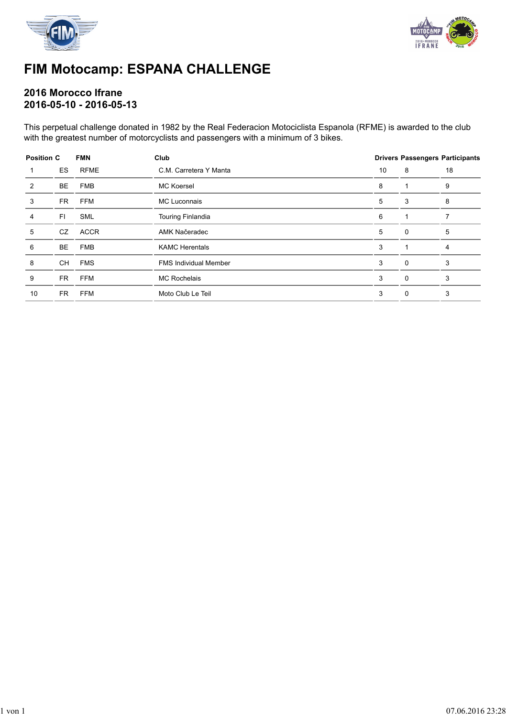



### **FIM Motocamp: ESPANA CHALLENGE**

#### **2016 Morocco Ifrane 2016-05-10 - 2016-05-13**

This perpetual challenge donated in 1982 by the Real Federacion Motociclista Espanola (RFME) is awarded to the club with the greatest number of motorcyclists and passengers with a minimum of 3 bikes.

| <b>Position C</b> |           | <b>FMN</b>  | Club                         | <b>Drivers Passengers Participants</b> |          |    |
|-------------------|-----------|-------------|------------------------------|----------------------------------------|----------|----|
|                   | <b>ES</b> | <b>RFME</b> | C.M. Carretera Y Manta       | 10                                     | 8        | 18 |
| 2                 | <b>BE</b> | <b>FMB</b>  | <b>MC Koersel</b>            | 8                                      | 1        | 9  |
| 3                 | FR        | <b>FFM</b>  | <b>MC Luconnais</b>          | 5                                      | 3        | 8  |
| 4                 | FI        | <b>SML</b>  | <b>Touring Finlandia</b>     | 6                                      |          |    |
| 5                 | CZ        | <b>ACCR</b> | AMK Načeradec                | 5                                      | $\Omega$ | 5  |
| 6                 | <b>BE</b> | <b>FMB</b>  | <b>KAMC Herentals</b>        | 3                                      |          | 4  |
| 8                 | <b>CH</b> | <b>FMS</b>  | <b>FMS Individual Member</b> | 3                                      | $\Omega$ | 3  |
| 9                 | <b>FR</b> | <b>FFM</b>  | <b>MC Rochelais</b>          | 3                                      | 0        | 3  |
| 10                | FR        | <b>FFM</b>  | Moto Club Le Teil            | 3                                      | 0        | 3  |
|                   |           |             |                              |                                        |          |    |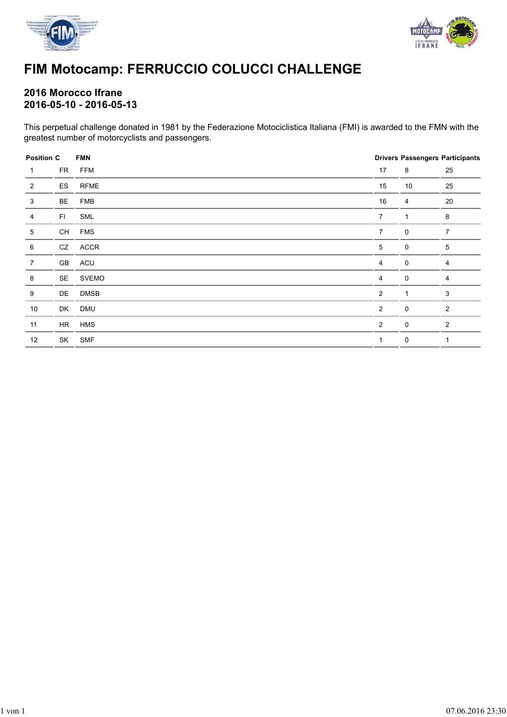



# **FIM Motocamp: FERRUCCIO COLUCCI CHALLENGE**

#### **2016 Morocco Ifrane 2016-05-10 - 2016-05-13**

This perpetual challenge donated in 1981 by the Federazione Motociclistica Italiana (FMI) is awarded to the FMN with the greatest number of motorcyclists and passengers.

| <b>Position C</b> |    | <b>FMN</b>   |                | <b>Drivers Passengers Participants</b> |                |
|-------------------|----|--------------|----------------|----------------------------------------|----------------|
| $\mathbf 1$       | FR | <b>FFM</b>   | 17             | 8                                      | 25             |
| $\overline{2}$    | ES | <b>RFME</b>  | 15             | 10                                     | 25             |
| 3                 | BE | <b>FMB</b>   | 16             | 4                                      | $20\,$         |
| 4                 | FI | SML          | $\overline{7}$ | $\mathbf{1}$                           | 8              |
| 5                 | CH | <b>FMS</b>   | $\overline{7}$ | 0                                      | $\overline{7}$ |
| 6                 | CZ | ACCR         | 5              | 0                                      | 5              |
| $\overline{7}$    | GB | ACU          | 4              | $\mathbf 0$                            | 4              |
| 8                 | SE | <b>SVEMO</b> | 4              | 0                                      | 4              |
| 9                 | DE | <b>DMSB</b>  | $\overline{2}$ | 1                                      | 3              |
| 10                | DK | DMU          | $\overline{2}$ | 0                                      | 2              |
| 11                | HR | <b>HMS</b>   | $\overline{2}$ | 0                                      | 2              |
| 12                | SK | <b>SMF</b>   | 1              | 0                                      | 1              |